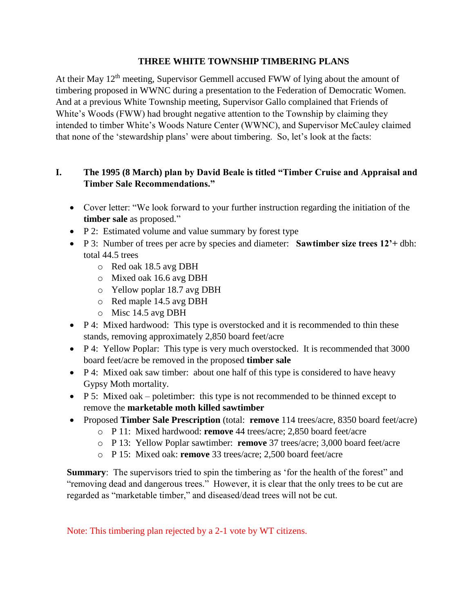#### **THREE WHITE TOWNSHIP TIMBERING PLANS**

At their May 12<sup>th</sup> meeting, Supervisor Gemmell accused FWW of lying about the amount of timbering proposed in WWNC during a presentation to the Federation of Democratic Women. And at a previous White Township meeting, Supervisor Gallo complained that Friends of White's Woods (FWW) had brought negative attention to the Township by claiming they intended to timber White's Woods Nature Center (WWNC), and Supervisor McCauley claimed that none of the 'stewardship plans' were about timbering. So, let's look at the facts:

### **I. The 1995 (8 March) plan by David Beale is titled "Timber Cruise and Appraisal and Timber Sale Recommendations."**

- Cover letter: "We look forward to your further instruction regarding the initiation of the **timber sale** as proposed."
- P 2: Estimated volume and value summary by forest type
- P 3: Number of trees per acre by species and diameter: **Sawtimber size trees 12'+** dbh: total 44.5 trees
	- o Red oak 18.5 avg DBH
	- o Mixed oak 16.6 avg DBH
	- o Yellow poplar 18.7 avg DBH
	- o Red maple 14.5 avg DBH
	- o Misc 14.5 avg DBH
- P 4: Mixed hardwood: This type is overstocked and it is recommended to thin these stands, removing approximately 2,850 board feet/acre
- P 4: Yellow Poplar: This type is very much overstocked. It is recommended that 3000 board feet/acre be removed in the proposed **timber sale**
- P 4: Mixed oak saw timber: about one half of this type is considered to have heavy Gypsy Moth mortality.
- $\bullet$  P 5: Mixed oak poletimber: this type is not recommended to be thinned except to remove the **marketable moth killed sawtimber**
- Proposed **Timber Sale Prescription** (total: **remove** 114 trees/acre, 8350 board feet/acre)
	- o P 11: Mixed hardwood: **remove** 44 trees/acre; 2,850 board feet/acre
	- o P 13: Yellow Poplar sawtimber: **remove** 37 trees/acre; 3,000 board feet/acre
	- o P 15: Mixed oak: **remove** 33 trees/acre; 2,500 board feet/acre

**Summary:** The supervisors tried to spin the timbering as 'for the health of the forest'' and "removing dead and dangerous trees." However, it is clear that the only trees to be cut are regarded as "marketable timber," and diseased/dead trees will not be cut.

Note: This timbering plan rejected by a 2-1 vote by WT citizens.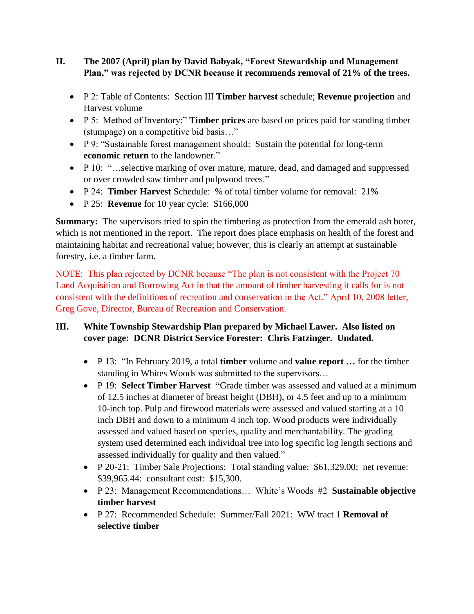### **II. The 2007 (April) plan by David Babyak, "Forest Stewardship and Management Plan," was rejected by DCNR because it recommends removal of 21% of the trees.**

- P 2: Table of Contents: Section III **Timber harvest** schedule; **Revenue projection** and Harvest volume
- P 5: Method of Inventory:" **Timber prices** are based on prices paid for standing timber (stumpage) on a competitive bid basis…"
- P 9: "Sustainable forest management should: Sustain the potential for long-term **economic return** to the landowner."
- P 10: "...selective marking of over mature, mature, dead, and damaged and suppressed or over crowded saw timber and pulpwood trees."
- P 24: **Timber Harvest** Schedule: % of total timber volume for removal: 21%
- P 25: **Revenue** for 10 year cycle: \$166,000

**Summary:** The supervisors tried to spin the timbering as protection from the emerald ash borer, which is not mentioned in the report. The report does place emphasis on health of the forest and maintaining habitat and recreational value; however, this is clearly an attempt at sustainable forestry, i.e. a timber farm.

NOTE: This plan rejected by DCNR because "The plan is not consistent with the Project 70 Land Acquisition and Borrowing Act in that the amount of timber harvesting it calls for is not consistent with the definitions of recreation and conservation in the Act." April 10, 2008 letter, Greg Gove, Director, Bureau of Recreation and Conservation.

# **III. White Township Stewardship Plan prepared by Michael Lawer. Also listed on cover page: DCNR District Service Forester: Chris Fatzinger. Undated.**

- P 13: "In February 2019, a total **timber** volume and **value report …** for the timber standing in Whites Woods was submitted to the supervisors…
- P 19: **Select Timber Harvest "**Grade timber was assessed and valued at a minimum of 12.5 inches at diameter of breast height (DBH), or 4.5 feet and up to a minimum 10-inch top. Pulp and firewood materials were assessed and valued starting at a 10 inch DBH and down to a minimum 4 inch top. Wood products were individually assessed and valued based on species, quality and merchantability. The grading system used determined each individual tree into log specific log length sections and assessed individually for quality and then valued."
- P 20-21: Timber Sale Projections: Total standing value: \$61,329.00; net revenue: \$39,965.44: consultant cost: \$15,300.
- P 23: Management Recommendations… White's Woods #2 **Sustainable objective timber harvest**
- P 27: Recommended Schedule: Summer/Fall 2021: WW tract 1 **Removal of selective timber**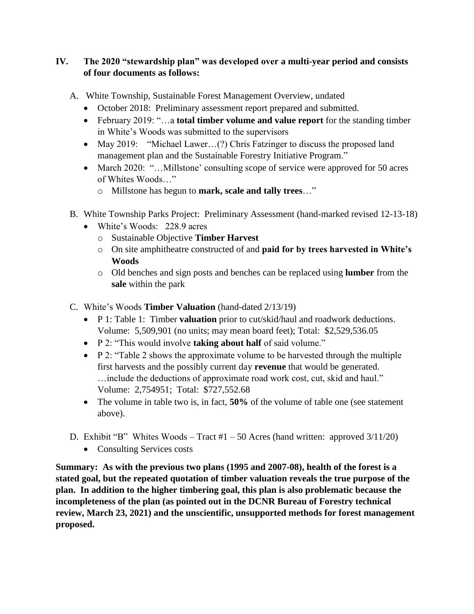# **IV. The 2020 "stewardship plan" was developed over a multi-year period and consists of four documents as follows:**

- A. White Township, Sustainable Forest Management Overview, undated
	- October 2018: Preliminary assessment report prepared and submitted.
	- February 2019: "…a **total timber volume and value report** for the standing timber in White's Woods was submitted to the supervisors
	- May 2019: "Michael Lawer...(?) Chris Fatzinger to discuss the proposed land management plan and the Sustainable Forestry Initiative Program."
	- March 2020: "...Millstone' consulting scope of service were approved for 50 acres of Whites Woods…"
		- o Millstone has begun to **mark, scale and tally trees**…"
- B. White Township Parks Project: Preliminary Assessment (hand-marked revised 12-13-18)
	- White's Woods: 228.9 acres
		- o Sustainable Objective **Timber Harvest**
		- o On site amphitheatre constructed of and **paid for by trees harvested in White's Woods**
		- o Old benches and sign posts and benches can be replaced using **lumber** from the **sale** within the park
- C. White's Woods **Timber Valuation** (hand-dated 2/13/19)
	- P 1: Table 1: Timber **valuation** prior to cut/skid/haul and roadwork deductions. Volume: 5,509,901 (no units; may mean board feet); Total: \$2,529,536.05
	- P 2: "This would involve **taking about half** of said volume."
	- $\bullet$  P 2: "Table 2 shows the approximate volume to be harvested through the multiple first harvests and the possibly current day **revenue** that would be generated. …include the deductions of approximate road work cost, cut, skid and haul." Volume: 2,754951; Total: \$727,552.68
	- The volume in table two is, in fact, **50%** of the volume of table one (see statement above).
- D. Exhibit "B" Whites Woods Tract  $#1 50$  Acres (hand written: approved  $3/11/20$ )
	- Consulting Services costs

**Summary: As with the previous two plans (1995 and 2007-08), health of the forest is a stated goal, but the repeated quotation of timber valuation reveals the true purpose of the plan. In addition to the higher timbering goal, this plan is also problematic because the incompleteness of the plan (as pointed out in the DCNR Bureau of Forestry technical review, March 23, 2021) and the unscientific, unsupported methods for forest management proposed.**